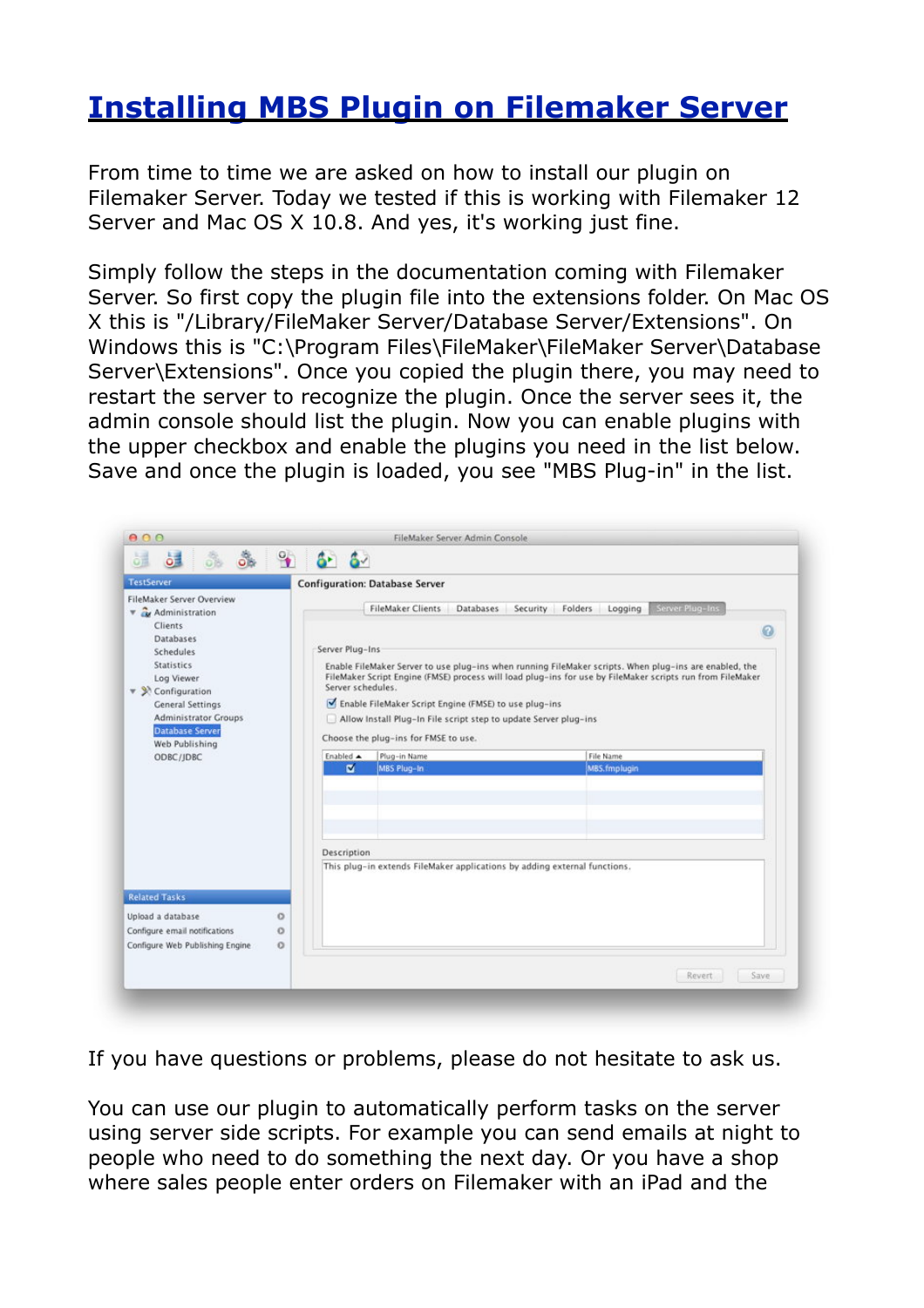## **[Installing MBS Plugin on Filemaker Server](http://www.mbsplugins.de/archive/2012-07-25/Installing_MBS_Plugin_on_Filem)**

From time to time we are asked on how to install our plugin on Filemaker Server. Today we tested if this is working with Filemaker 12 Server and Mac OS X 10.8. And yes, it's working just fine.

Simply follow the steps in the documentation coming with Filemaker Server. So first copy the plugin file into the extensions folder. On Mac OS X this is "/Library/FileMaker Server/Database Server/Extensions". On Windows this is "C:\Program Files\FileMaker\FileMaker Server\Database Server\Extensions". Once you copied the plugin there, you may need to restart the server to recognize the plugin. Once the server sees it, the admin console should list the plugin. Now you can enable plugins with the upper checkbox and enable the plugins you need in the list below. Save and once the plugin is loaded, you see "MBS Plug-in" in the list.

| 8 3 9 6 6<br>温<br><b>b</b>                                                                         |                                                                                   |                                                                                                                                                                                                                                                                                                                                                                                          |           |  |
|----------------------------------------------------------------------------------------------------|-----------------------------------------------------------------------------------|------------------------------------------------------------------------------------------------------------------------------------------------------------------------------------------------------------------------------------------------------------------------------------------------------------------------------------------------------------------------------------------|-----------|--|
| <b>TestServer</b>                                                                                  |                                                                                   | <b>Configuration: Database Server</b>                                                                                                                                                                                                                                                                                                                                                    |           |  |
| FileMaker Server Overview<br><b>v</b> & Administration<br>Clients                                  | <b>FileMaker Clients</b><br>Server Plug-Ins<br>Databases Security Folders Logging |                                                                                                                                                                                                                                                                                                                                                                                          |           |  |
| Databases                                                                                          |                                                                                   |                                                                                                                                                                                                                                                                                                                                                                                          | Q         |  |
| Schedules                                                                                          |                                                                                   | Server Plug-Ins<br>Enable FileMaker Server to use plug-ins when running FileMaker scripts. When plug-ins are enabled, the<br>FileMaker Script Engine (FMSE) process will load plug-ins for use by FileMaker scripts run from FileMaker<br>Server schedules.<br>Enable FileMaker Script Engine (FMSE) to use plug-ins<br>Allow Install Plug-In File script step to update Server plug-ins |           |  |
| <b>Statistics</b><br>Log Viewer<br>$\blacktriangledown$ $\aleph$ Configuration<br>General Settings |                                                                                   |                                                                                                                                                                                                                                                                                                                                                                                          |           |  |
| <b>Administrator Groups</b>                                                                        |                                                                                   |                                                                                                                                                                                                                                                                                                                                                                                          |           |  |
| <b>Database Server</b><br>Web Publishing                                                           |                                                                                   | Choose the plug-ins for FMSE to use.                                                                                                                                                                                                                                                                                                                                                     |           |  |
| ODBC/JDBC                                                                                          | Enabled A<br>ø                                                                    | Plug-in Name                                                                                                                                                                                                                                                                                                                                                                             | File Name |  |
|                                                                                                    |                                                                                   |                                                                                                                                                                                                                                                                                                                                                                                          |           |  |
|                                                                                                    | Description                                                                       |                                                                                                                                                                                                                                                                                                                                                                                          |           |  |
|                                                                                                    |                                                                                   | This plug-in extends FileMaker applications by adding external functions.                                                                                                                                                                                                                                                                                                                |           |  |
|                                                                                                    |                                                                                   |                                                                                                                                                                                                                                                                                                                                                                                          |           |  |
| <b>Related Tasks</b>                                                                               |                                                                                   |                                                                                                                                                                                                                                                                                                                                                                                          |           |  |
| Upload a database<br>$\circ$                                                                       |                                                                                   |                                                                                                                                                                                                                                                                                                                                                                                          |           |  |
| Configure email notifications<br>$\circ$                                                           |                                                                                   |                                                                                                                                                                                                                                                                                                                                                                                          |           |  |
| $\Omega$<br>Configure Web Publishing Engine                                                        |                                                                                   |                                                                                                                                                                                                                                                                                                                                                                                          |           |  |
|                                                                                                    |                                                                                   |                                                                                                                                                                                                                                                                                                                                                                                          |           |  |

If you have questions or problems, please do not hesitate to ask us.

You can use our plugin to automatically perform tasks on the server using server side scripts. For example you can send emails at night to people who need to do something the next day. Or you have a shop where sales people enter orders on Filemaker with an iPad and the